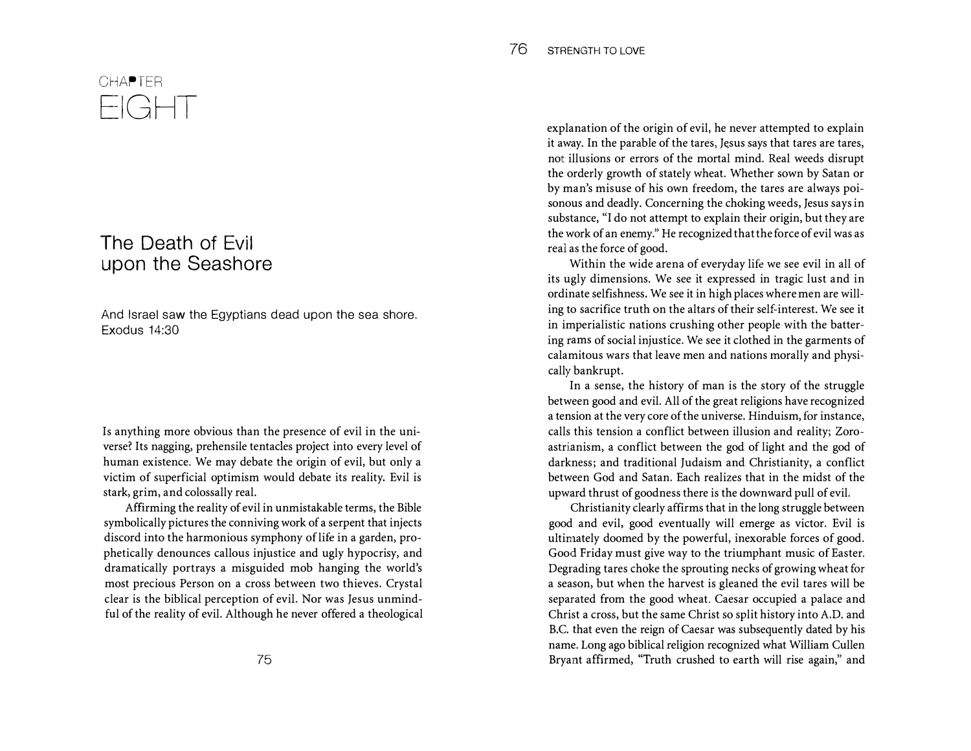### CHAPTER FIGH

#### **The Death of Evil upon the Seashore**

And Israel saw the Egyptians dead upon the sea shore. Exodus 14:30

Is anything more obvious than the presence of evil in the universe? Its nagging, prehensile tentacles project into every level of human existence. We may debate the origin of evil, but only a victim of superficial optimism would debate its reality. Evil is stark, grim, and colossally real.

Affirming the reality of evil in unmistakable terms, the Bible symbolically pictures the conniving work of a serpent that injects discord into the harmonious symphony of life in a garden, prophetically denounces callous injustice and ugly hypocrisy, and dramatically portrays a misguided mob hanging the world's most precious Person on a cross between two thieves. Crystal clear is the biblical perception of evil. Nor was Jesus unmindful of the reality of evil. Although he never offered a theological explanation of the origin of evil, he never attempted to explain it away. In the parable of the tares, Jesus says that tares are tares, not illusions or errors of the mortal mind. Real weeds disrupt the orderly growth of stately wheat. Whether sown by Satan or by man's misuse of his own freedom, the tares are always poisonous and deadly. Concerning the choking weeds, Jesus says in substance, "I do not attempt to explain their origin, but they are the work of an enemy." He recognized that the force of evil was as real as the force of good.

Within the wide arena of everyday life we see evil in all of its ugly dimensions. We see it expressed in tragic lust and in ordinate selfishness. We see it in high places where men are willing to sacrifice truth on the altars of their self-interest. We see it in imperialistic nations crushing other people with the battering rams of social injustice. We see it clothed in the garments of calamitous wars that leave men and nations morally and physically bankrupt.

In a sense, the history of man is the story of the struggle between good and evil. All of the great religions have recognized a tension at the very core of the universe. Hinduism, for instance, calls this tension a conflict between illusion and reality; Zoroastrianism, a conflict between the god of light and the god of darkness; and traditional Judaism and Christianity, a conflict between God and Satan. Each realizes that in the midst of the upward thrust of goodness there is the downward pull of evil.

Christianity clearly affirms that in the long struggle between good and evil, good eventually will emerge as victor. Evil is ultimately doomed by the powerful, inexorable forces of good. Good Friday must give way to the triumphant music of Easter. Degrading tares choke the sprouting necks of growing wheat for a season, but when the harvest is gleaned the evil tares will be separated from the good wheat. Caesar occupied a palace and Christ a cross, but the same Christ so split history into A.D. and B.C. that even the reign of Caesar was subsequently dated by his name. Long ago biblical religion recognized what William Cullen Bryant affirmed, "Truth crushed to earth will rise again," and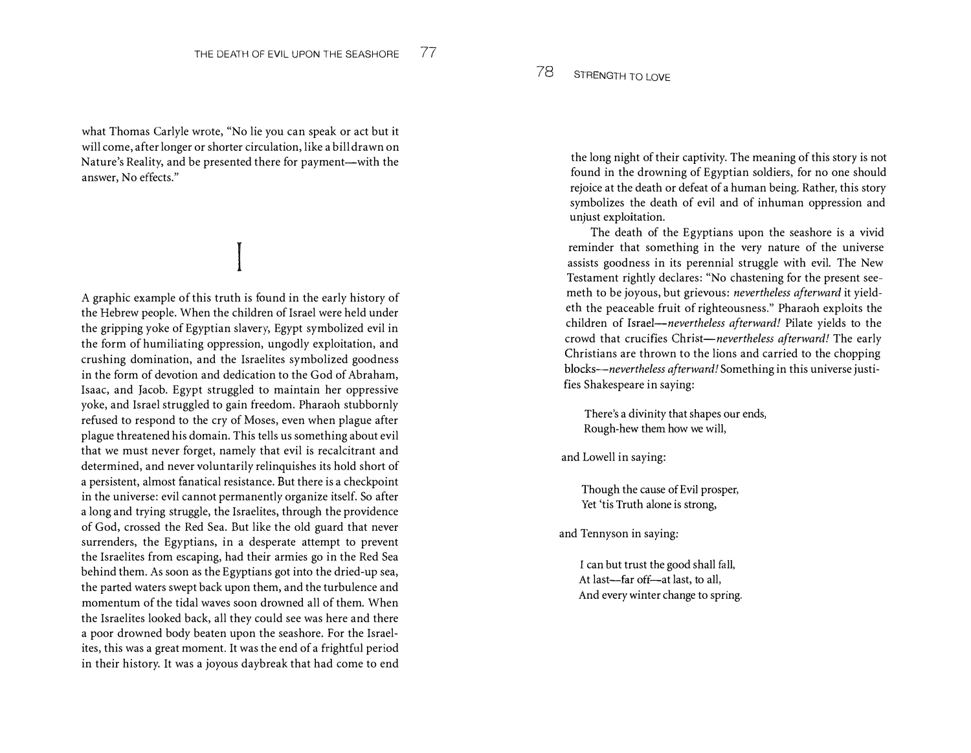what Thomas Carlyle wrote, "No lie you can speak or act but it will come, after longer or shorter circulation, like a bill drawn on Nature's Reality, and be presented there for payment-with the answer, No effects."

## **I**

A graphic example of this truth is found in the early history of the Hebrew people. When the children of Israel were held under the gripping yoke of Egyptian slavery, Egypt symbolized evil in the form of humiliating oppression, ungodly exploitation, and crushing domination, and the Israelites symbolized goodness in the form of devotion and dedication to the God of Abraham, Isaac, and Jacob. Egypt struggled to maintain her oppressive yoke, and Israel struggled to gain freedom. Pharaoh stubbornly refused to respond to the cry of Moses, even when plague after plague threatened his domain. This tells us something about evil that we must never forget, namely that evil is recalcitrant and determined, and never voluntarily relinquishes its hold short of a persistent, almost fanatical resistance. But there is a checkpoint in the universe: evil cannot permanently organize itself. So after a long and trying struggle, the Israelites, through the providence of God, crossed the Red Sea. But like the old guard that never surrenders, the Egyptians, in a desperate attempt to prevent the Israelites from escaping, had their armies go in the Red Sea behind them. As soon as the Egyptians got into the dried-up sea, the parted waters swept back upon them, and the turbulence and momentum of the tidal waves soon drowned all of them. When the Israelites looked back, all they could see was here and there a poor drowned body beaten upon the seashore. For the Israelites, this was a great moment. It was the end of a frightful period in their history. It was a joyous daybreak that had come to end 78 STRENGTH TO LOVE

the long night of their captivity. The meaning of this story is not found in the drowning of Egyptian soldiers, for no one should rejoice at the death or defeat of a human being. Rather, this story symbolizes the death of evil and of inhuman oppression and unjust exploitation.

The death of the Egyptians upon the seashore is a vivid reminder that something in the very nature of the universe assists goodness in its perennial struggle with evil. The New Testament rightly declares: "No chastening for the present seemeth to be joyous, but grievous: *nevertheless afterward* it yieldeth the peaceable fruit of righteousness." Pharaoh exploits the children of *Israel-nevertheless afterward!* Pilate yields to the crowd that crucifies *Christ-nevertheless afterward!* The early Christians are thrown to the lions and carried to the chopping *blocks-nevertheless afterward!* Something in this universe justifies Shakespeare in saying:

There's a divinity that shapes our ends, Rough-hew them how we will,

and Lowell in saying:

Though the cause of Evil prosper, Yet 'tis Truth alone is strong,

and Tennyson in saying:

I can but trust the good shall fall, At last-far off-at last, to all, And every winter change to spring.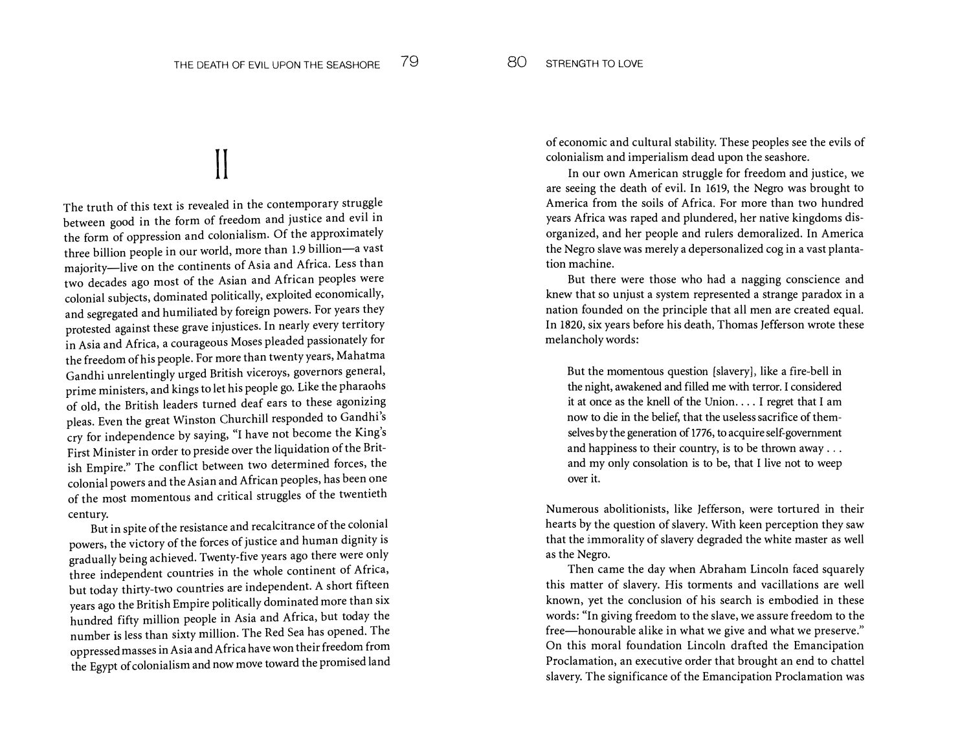# II

The truth of this text is revealed in the contemporary struggle between good in the form of freedom and justice and evil in the form of oppression and colonialism. Of the approximately three billion people in our world, more than 1.9 billion-a vast majority-live on the continents of Asia and Africa. Less than two decades ago most of the Asian and African peoples were colonial subjects, dominated politically, exploited economically, and segregated and humiliated by foreign powers. For years they protested against these grave injustices. In nearly every territory in Asia and Africa, a courageous Moses pleaded passionately for the freedom of his people. For more than twenty years, Mahatma Gandhi unrelentingly urged British viceroys, governors general, prime ministers, and kings to let his people go. Like the pharaohs of old, the British leaders turned deaf ears to these agonizing pleas. Even the great Winston Churchill responded to Gandhi's cry for independence by saying, "I have not become the King's First Minister in order to preside over the liquidation of the British Empire." The conflict between two determined forces, the colonial powers and the Asian and African peoples, has been one of the most momentous and critical struggles of the twentieth century.

But in spite of the resistance and recalcitrance of the colonial powers, the victory of the forces of justice and human dignity is gradually being achieved. Twenty-five years ago there were only three independent countries in the whole continent of Africa, but today thirty-two countries are independent. A short fifteen years ago the British Empire politically dominated more than six hundred fifty million people in Asia and Africa, but today the number is less than sixty million. The Red Sea has opened. The oppressed masses in Asia and Africa have won their freedom from the Egypt of colonialism and now move toward the promised land of economic and cultural stability. These peoples see the evils of colonialism and imperialism dead upon the seashore.

In our own American struggle for freedom and justice, we are seeing the death of evil. In 1619, the Negro was brought to America from the soils of Africa. For more than two hundred years Africa was raped and plundered, her native kingdoms disorganized, and her people and rulers demoralized. In America the Negro slave was merely a depersonalized cog in a vast plantation machine.

But there were those who had a nagging conscience and knew that so unjust a system represented a strange paradox in a nation founded on the principle that all men are created equal. In 1820, six years before his death, Thomas Jefferson wrote these melancholy words:

But the momentous question [slavery], like a fire-bell in the night, awakened and filled me with terror. I considered it at once as the knell of the Union .... I regret that I am now to die in the belief, that the useless sacrifice of themselves by the generation of 1776, to acquire self-government and happiness to their country, is to be thrown away ... and my only consolation is to be, that I live not to weep over it.

Numerous abolitionists, like Jefferson, were tortured in their hearts by the question of slavery. With keen perception they saw that the immorality of slavery degraded the white master as well as the Negro.

Then came the day when Abraham Lincoln faced squarely this matter of slavery. His torments and vacillations are well known, yet the conclusion of his search is embodied in these words: "In giving freedom to the slave, we assure freedom to the free-honourable alike in what we give and what we preserve." On this moral foundation Lincoln drafted the Emancipation Proclamation, an executive order that brought an end to chattel slavery. The significance of the Emancipation Proclamation was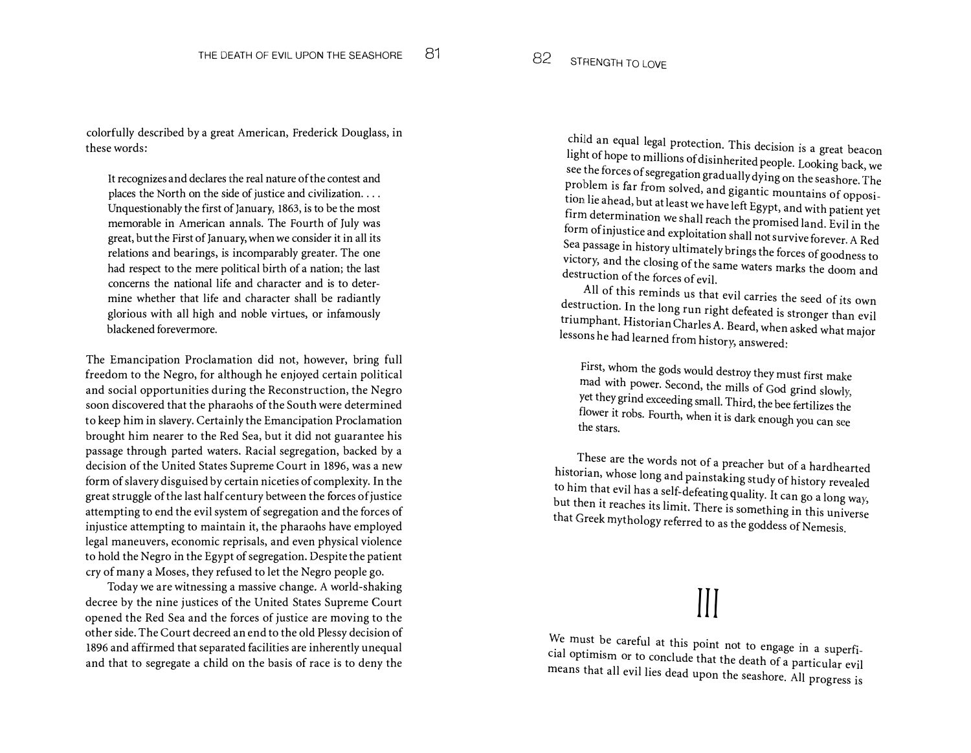81 82 STRENGTH TO LOVE

colorfully described by a great American, Frederick Douglass, in these words:

It recognizes and declares the real nature of the contest and places the North on the side of justice and civilization.... Unquestionably the first of January, 1863, is to be the most memorable in American annals. The Fourth of July was great, but the First of January, when we consider it in all its relations and bearings, is incomparably greater. The one had respect to the mere political birth of a nation; the last concerns the national life and character and is to determine whether that life and character shall be radiantly glorious with all high and noble virtues, or infamously blackened forevermore.

The Emancipation Proclamation did not, however, bring full freedom to the Negro, for although he enjoyed certain political and social opportunities during the Reconstruction, the Negro soon discovered that the pharaohs of the South were determined to keep him in slavery. Certainly the Emancipation Proclamation brought him nearer to the Red Sea, but it did not guarantee his passage through parted waters. Racial segregation, backed by a decision of the United States Supreme Court in 1896, was a new form of slavery disguised by certain niceties of complexity. In the great struggle of the last half century between the forces of justice attempting to end the evil system of segregation and the forces of injustice attempting to maintain it, the pharaohs have employed legal maneuvers, economic reprisals, and even physical violence to hold the Negro in the Egypt of segregation. Despite the patient cry of many a Moses, they refused to let the Negro people go.

Today we are witnessing a massive change. A world-shaking decree by the nine justices of the United States Supreme Court opened the Red Sea and the forces of justice are moving to the other side. The Court decreed an end to the old Plessy decision of 1896 and affirmed that separated facilities are inherently unequal and that to segregate a child on the basis of race is to deny the

child an equal legal protection. This decision is a great beacon<br>light of hope to millions of disinherited people. Looking back, we<br>see the forces of segregation gradually dying on the seashore. The<br>problem is far from sol Sea passage in history ultimately brings the forces of goodness to victory, and the closing of the same waters marks the doom and

destruction of the forces of evil.<br>All of this reminds us that evil carries the seed of its own destruction. All of this reminds us that evil carries the seed of its own destruction. In the long run right defeated is stronger than evil triumphant. Historian Charles A. Beard, when asked what major lessons he had learned from histo

First, whom the gods would destroy they must first make<br>mad with power. Second, the mills of God grind slowly,<br>yet they grind exceeding small. Third, the bee fertilizes the<br>flower it robs. Fourth, when it is dark enough yo

These are the words not of a preacher but of a hardhearted<br>historian, whose long and painstaking study of history revealed<br>to him that evil has a self-defeating quality. It can go a long way,<br>but then it reaches its limit.

# **III**

We must be careful at this point not to engage in a superficial optimism or to conclude that the death of a particular evil cial optimism or to conclude that the death of a particular evil<br>means that all evil lies dead upon the seashore. All progress is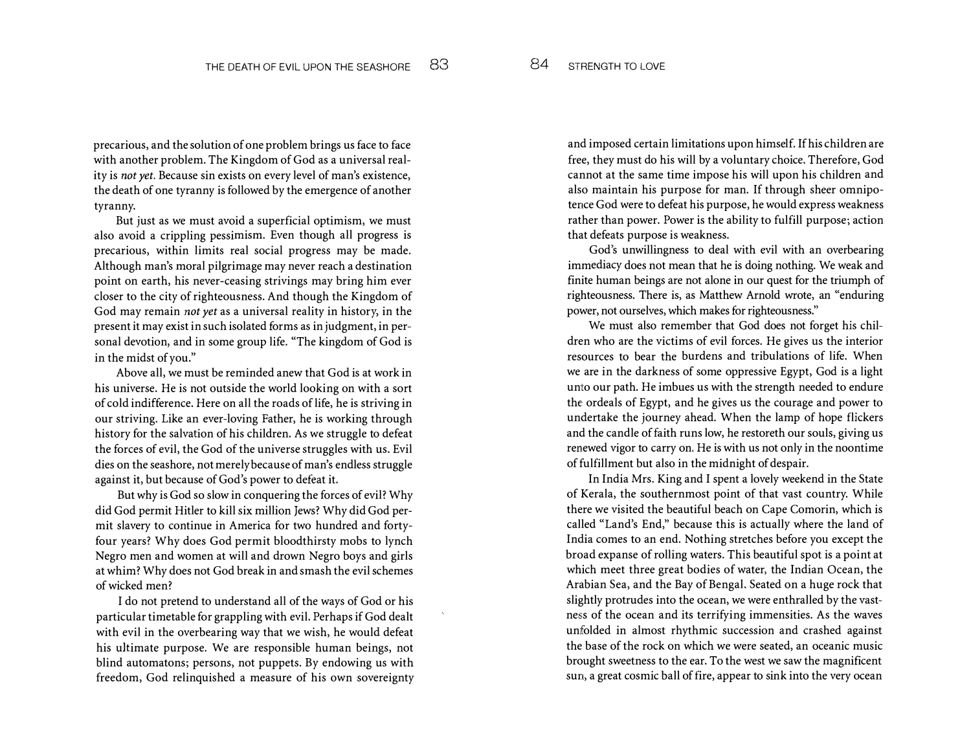precarious, and the solution of one problem brings us face to face with another problem. The Kingdom of God as a universal reality is *not yet.* Because sin exists on every level of man's existence, the death of one tyranny is followed by the emergence of another tyranny.

But just as we must avoid a superficial optimism, we must also avoid a crippling pessimism. Even though all progress is precarious, within limits real social progress may be made. Although man's moral pilgrimage may never reach a destination point on earth, his never-ceasing strivings may bring him ever closer to the city of righteousness. And though the Kingdom of God may remain *not yet* as a universal reality in history, in the present it may exist in such isolated forms as in judgment, in personal devotion, and in some group life. "The kingdom of God is in the midst of you."

Above all, we must be reminded anew that God is at work in his universe. He is not outside the world looking on with a sort of cold indifference. Here on all the roads of life, he is striving in our striving. Like an ever-loving Father, he is working through history for the salvation of his children. As we struggle to defeat the forces of evil, the God of the universe struggles with us. Evil dies on the seashore, not merely because of man's endless struggle against it, but because of God's power to defeat it.

But why is God so slow in conquering the forces of evil? Why did God permit Hitler to kill six million Jews? Why did God permit slavery to continue in America for two hundred and fortyfour years? Why does God permit bloodthirsty mobs to lynch Negro men and women at will and drown Negro boys and girls at whim? Why does not God break in and smash the evil schemes of wicked men?

I do not pretend to understand all of the ways of God or his particular timetable for grappling with evil. Perhaps if God dealt with evil in the overbearing way that we wish, he would defeat his ultimate purpose. We are responsible human beings, not blind automatons; persons, not puppets. By endowing us with freedom, God relinquished a measure of his own sovereignty

and imposed certain limitations upon himself. If his children are free, they must do his will by a voluntary choice. Therefore, God cannot at the same time impose his will upon his children and also maintain his purpose for man. If through sheer omnipotence God were to defeat his purpose, he would express weakness rather than power. Power is the ability to fulfill purpose; action that defeats purpose is weakness.

God's unwillingness to deal with evil with an overbearing immediacy does not mean that he is doing nothing. We weak and finite human beings are not alone in our quest for the triumph of righteousness. There is, as Matthew Arnold wrote, an "enduring power, not ourselves, which makes for righteousness."

We must also remember that God does not forget his children who are the victims of evil forces. He gives us the interior resources to bear the burdens and tribulations of life. When we are in the darkness of some oppressive Egypt, God is a light unto our path. He imbues us with the strength needed to endure the ordeals of Egypt, and he gives us the courage and power to undertake the journey ahead. When the lamp of hope flickers and the candle of faith runs low, he restoreth our souls, giving us renewed vigor to carry on. He is with us not only in the noontime of fulfillment but also in the midnight of despair.

In India Mrs. King and I spent a lovely weekend in the State of Kerala, the southernmost point of that vast country. While there we visited the beautiful beach on Cape Comorin, which is called "Land's End," because this is actually where the land of India comes to an end. Nothing stretches before you except the broad expanse of rolling waters. This beautiful spot is a point at which meet three great bodies of water, the Indian Ocean, the Arabian Sea, and the Bay of Bengal. Seated on a huge rock that slightly protrudes into the ocean, we were enthralled by the vastness of the ocean and its terrifying immensities. As the waves unfolded in almost rhythmic succession and crashed against the base of the rock on which we were seated, an oceanic music brought sweetness to the ear. To the west we saw the magnificent sun, a great cosmic ball of fire, appear to sink into the very ocean